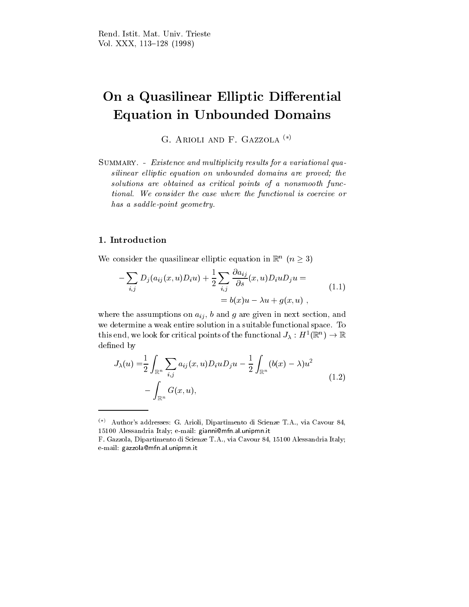# On a Quasilinear Elliptic Differential Equation in Unbounded Domains

G. ARIOLI AND F. GAZZOLA<sup>(\*)</sup>

SUMMARY. - Existence and multiplicity results for a variational quasilinear elliptic equation on unbounded domains are proved; the solutions are obtained as critical points of a nonsmooth functional. We consider the case where the functional is coercive or has a saddle-point geometry.

We consider the quasilinear elliptic equation in  $\mathbb{R}^n$  ( $n \geq 3$ )

$$
-\sum_{i,j} D_j(a_{ij}(x,u)D_i u) + \frac{1}{2} \sum_{i,j} \frac{\partial a_{ij}}{\partial s}(x,u)D_i u D_j u =
$$
  
=  $b(x)u - \lambda u + g(x,u)$ , (1.1)

where the assumptions on  $a_{ij}$ , b and g are given in next section, and we determine a weak entire solution in a suitable functional space. To this end, we look for critical points of the functional  $J_\lambda : H^\perp(\mathbb{R}^n) \rightarrow \mathbb{R}$ defined by

$$
J_{\lambda}(u) = \frac{1}{2} \int_{\mathbb{R}^n} \sum_{i,j} a_{ij}(x, u) D_i u D_j u - \frac{1}{2} \int_{\mathbb{R}^n} (b(x) - \lambda) u^2 - \int_{\mathbb{R}^n} G(x, u), \tag{1.2}
$$

<sup>()</sup> Author's addresses: G. Arioli, Dipartimento di Scienze T.A., via Cavour 84, 15100 Alessandria Italy; e-mail: gianni@mfn.al.unipmn.it

F. Gazzola, Dipartimento di Scienze T.A., via Cavour 84, 15100 Alessandria Italy; e-mail: gazzola@mfn.al.unipmn.it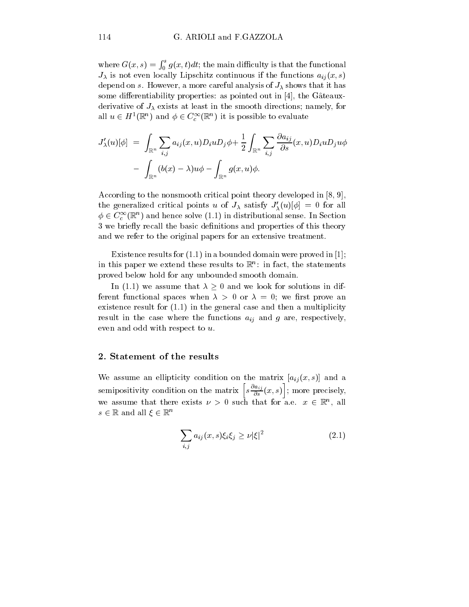where  $G(x,s) = \int_0^s g(x,t)dt$ ; the main difficulty is that the functional  $J_{\lambda}$  is not even locally Lipschitz continuous if the functions  $a_{ij}(x, s)$ depend on s. However, a more careful analysis of  $J_{\lambda}$  shows that it has some differentiability properties: as pointed out in  $[4]$ , the Gâteauxderivative of  $J_{\lambda}$  exists at least in the smooth directions; namely, for all  $u \in H^1(\mathbb{R}^n)$  and  $\phi \in C_c^\infty(\mathbb{R}^n)$  it is possible to evaluate

$$
J'_{\lambda}(u)[\phi] = \int_{\mathbb{R}^n} \sum_{i,j} a_{ij}(x,u)D_i u D_j \phi + \frac{1}{2} \int_{\mathbb{R}^n} \sum_{i,j} \frac{\partial a_{ij}}{\partial s}(x,u)D_i u D_j u \phi
$$

$$
- \int_{\mathbb{R}^n} (b(x) - \lambda) u \phi - \int_{\mathbb{R}^n} g(x,u) \phi.
$$

According to the nonsmooth critical point theory developed in [8, 9], the generalized critical points u of  $J_{\lambda}$  satisfy  $J'_{\lambda}(u)[\phi] = 0$  for all  $\phi \in C_c^{\infty}(\mathbb{R}^n)$  and hence solve (1.1) in distributional sense. In Section 3 we briefly recall the basic definitions and properties of this theory and we refer to the original papers for an extensive treatment.

Existence results for (1.1) in a bounded domain were proved in [1]; in this paper we extend these results to  $\mathbb{R}^n$ : in fact, the statements proved below hold for any unbounded smooth domain.

In (1.1) we assume that  $\lambda \geq 0$  and we look for solutions in different functional spaces when  $\lambda > 0$  or  $\lambda = 0$ ; we first prove an existence result for (1.1) in the general case and then a multiplicity result in the case where the functions  $a_{ij}$  and g are, respectively, even and odd with respect to u.

## 2. Statement of the results

We assume an ellipticity condition on the matrix  $[a_{ij}(x, s)]$  and a semipositivity condition on the matrix  $\left[ s \frac{\partial a_{ij}}{\partial s}(x, s) \right]$ ; more precisely, we assume that there exists  $\nu > 0$  such that for a.e.  $x \in \mathbb{R}^n$ , all  $s \in \mathbb{R}$  and all  $\xi \in \mathbb{R}^n$ 

$$
\sum_{i,j} a_{ij}(x,s)\xi_i\xi_j \ge \nu |\xi|^2 \tag{2.1}
$$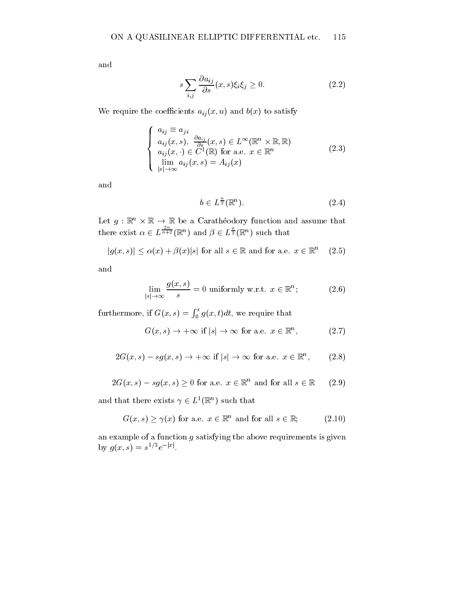and

$$
s\sum_{i,j}\frac{\partial a_{ij}}{\partial s}(x,s)\xi_i\xi_j\geq 0.\tag{2.2}
$$

We require the coefficients  $a_{ij}(x, u)$  and  $b(x)$  to satisfy

$$
\begin{cases}\n a_{ij} \equiv a_{ji} \\
a_{ij}(x, s), \frac{\partial a_{ij}}{\partial s}(x, s) \in L^{\infty}(\mathbb{R}^n \times \mathbb{R}, \mathbb{R}) \\
a_{ij}(x, \cdot) \in C^1(\mathbb{R}) \text{ for a.e. } x \in \mathbb{R}^n \\
\lim_{|s| \to \infty} a_{ij}(x, s) = A_{ij}(x)\n\end{cases}
$$
\n(2.3)

and

$$
b \in L^{\frac{n}{2}}(\mathbb{R}^n). \tag{2.4}
$$

Let  $g: \mathbb{R}^n \times \mathbb{R} \to \mathbb{R}$  be a Caratheodory function and assume that there exist  $\alpha \in L^{\frac{n}{n+2}}(\mathbb{R}^n)$  and  $\beta \in L^{\frac{n}{2}}(\mathbb{R}^n)$  such that

$$
|g(x,s)| \le \alpha(x) + \beta(x)|s| \text{ for all } s \in \mathbb{R} \text{ and for a.e. } x \in \mathbb{R}^n \quad (2.5)
$$

and

$$
\lim_{|s| \to \infty} \frac{g(x, s)}{s} = 0 \text{ uniformly w.r.t. } x \in \mathbb{R}^n; \tag{2.6}
$$

furthermore, if  $G(x, s) = \int_0^s g(x, t)dt$ , we require that

$$
G(x, s) \to +\infty \text{ if } |s| \to \infty \text{ for a.e. } x \in \mathbb{R}^n, \qquad (2.7)
$$

$$
2G(x, s) - sg(x, s) \to +\infty \text{ if } |s| \to \infty \text{ for a.e. } x \in \mathbb{R}^n, \qquad (2.8)
$$

$$
2G(x, s) - sg(x, s) \ge 0 \text{ for a.e. } x \in \mathbb{R}^n \text{ and for all } s \in \mathbb{R} \qquad (2.9)
$$

and that there exists  $\gamma \in L^1(\mathbb{R}^n)$  such that

$$
G(x, s) \ge \gamma(x) \text{ for a.e. } x \in \mathbb{R}^n \text{ and for all } s \in \mathbb{R};\tag{2.10}
$$

an example of a function  $g$  satisfying the above requirements is given by  $q(x, s) = s e^{i\theta}$ .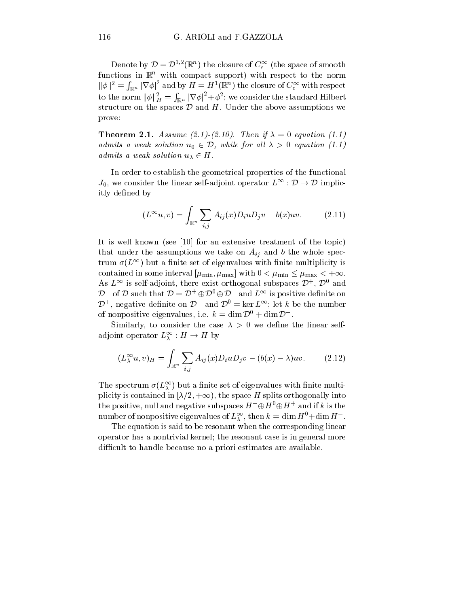Denote by  $\mathcal{D}=\mathcal{D}^{1,2}(\mathbb{R}^n)$  the closure of  $C_c^\infty$  (the space of smooth functions in  $\mathbb{R}^n$  with compact support) with respect to the norm  $\|\phi\|^2=\int_{\mathbb{R}^n}|\nabla\phi|^2$  and by  $H=H^1(\mathbb{R}^n)$  the closure of  $C_c^\infty$  with respect to the norm  $\|\phi\|_H^2 = \int_{\mathbb{R}^n} |\nabla \phi|^2 + \phi^2;$  we consider the standard Hilbert structure on the spaces  $D$  and  $H$ . Under the above assumptions we prove:

**Theorem 2.1.** Assume (2.1)-(2.10). Then if  $\lambda = 0$  equation (1.1) admits a weak solution  $u_0 \in \mathcal{D}$ , while for all  $\lambda > 0$  equation (1.1) admits a weak solution  $u_{\lambda} \in H$ .

In order to establish the geometrical properties of the functional  $J_0$ , we consider the linear self-adjoint operator  $L^{\infty} : \mathcal{D} \to \mathcal{D}$  implicitly defined by

$$
(L^{\infty}u,v) = \int_{\mathbb{R}^n} \sum_{i,j} A_{ij}(x) D_i u D_j v - b(x) u v.
$$
 (2.11)

It is well known (see [10] for an extensive treatment of the topic) that under the assumptions we take on  $A_{ij}$  and b the whole spectrum  $\sigma(L^{\infty})$  but a finite set of eigenvalues with finite multiplicity is contained in some interval  $[\mu_{\min}, \mu_{\max}]$  with  $0 < \mu_{\min} \leq \mu_{\max} < +\infty$ . As  $L^{\infty}$  is self-adjoint, there exist orthogonal subspaces  $\mathcal{D}^{+}$ ,  $\mathcal{D}^{\upsilon}$  and  $\mathcal{D}^-$  of D such that  $\mathcal{D} = \mathcal{D}^+ \oplus \mathcal{D}^0 \oplus \mathcal{D}^-$  and  $L^{\infty}$  is positive definite on  $\mathcal{D}^+$ , negative definite on  $\mathcal{D}^-$  and  $\mathcal{D}^0 = \ker L^{\infty}$ ; let k be the number of nonpositive eigenvalues, i.e.  $k = \dim \mathcal{D}^0 + \dim \mathcal{D}^-$ .

Similarly, to consider the case  $\lambda > 0$  we define the linear selfadjoint operator  $L^\infty_\lambda : H \to H$  by

$$
(L_{\lambda}^{\infty}u,v)_{H} = \int_{\mathbb{R}^{n}} \sum_{i,j} A_{ij}(x)D_{i}uD_{j}v - (b(x) - \lambda)uv.
$$
 (2.12)

The spectrum  $\sigma(L_{\lambda})$  but a nime set of eigenvalues with finite multiplicity is contained in  $[\lambda/2, +\infty)$ , the space H splits orthogonally into the positive, null and negative subspaces  $H^- \oplus H^{\circ} \oplus H^+$  and if k is the number of nonpositive eigenvalues of  $L_{\lambda}^{+}$ , then  $\kappa = \dim H^+ + \dim H^-$ .

The equation is said to be resonant when the corresponding linear operator has a nontrivial kernel; the resonant case is in general more difficult to handle because no a priori estimates are available.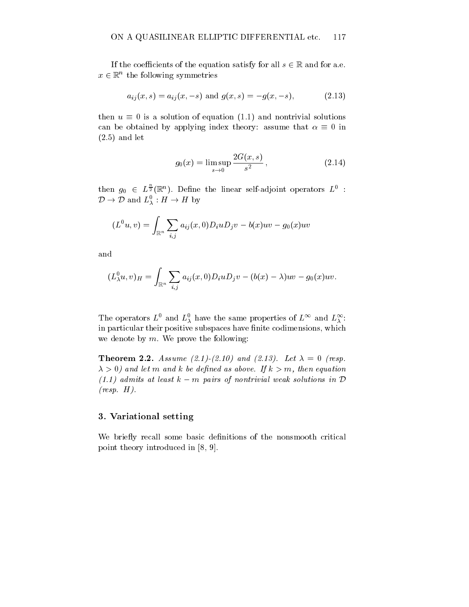If the coefficients of the equation satisfy for all  $s \in \mathbb{R}$  and for a.e.  $x \in \mathbb{R}^n$  the following symmetries

$$
a_{ij}(x,s) = a_{ij}(x,-s) \text{ and } g(x,s) = -g(x,-s), \tag{2.13}
$$

then  $u \equiv 0$  is a solution of equation (1.1) and nontrivial solutions can be obtained by applying index theory: assume that  $\alpha \equiv 0$  in (2.5) and let

$$
g_0(x) = \limsup_{s \to 0} \frac{2G(x, s)}{s^2},
$$
\n(2.14)

then  $g_0 \in L^{\frac{1}{2}}(\mathbb{R}^n)$ . Define the linear self-adjoint operators  $L^0$ :  $\mathcal{D} \to \mathcal{D}$  and  $L^0_{\lambda}: H \to H$  by

$$
(L^0u,v)=\int_{\mathbb{R}^n}\sum_{i,j}a_{ij}(x,0)D_iuD_jv-b(x)uv-g_0(x)uv
$$

and

$$
(L^0_\lambda u,v)_H=\int_{\mathbb{R}^n}\sum_{i,j}a_{ij}(x,0)D_iuD_jv-(b(x)-\lambda)uv-g_0(x)uv.
$$

The operators  $L^2$  and  $L^2_{\lambda}$  have the same properties of  $L^2$  and  $L^2_{\lambda}$ : in particular their positive subspaces have finite codimensions, which we denote by  $m$ . We prove the following:

**Theorem 2.2.** Assume (2.1)-(2.10) and (2.13). Let  $\lambda = 0$  (resp.  $\lambda > 0$ ) and let m and k be defined as above. If  $k > m$ , then equation  $(1.1)$  admits at least  $k - m$  pairs of nontrivial weak solutions in  $D$  $(resp. H).$ 

## 3. Variational setting

We briefly recall some basic definitions of the nonsmooth critical point theory introduced in [8, 9].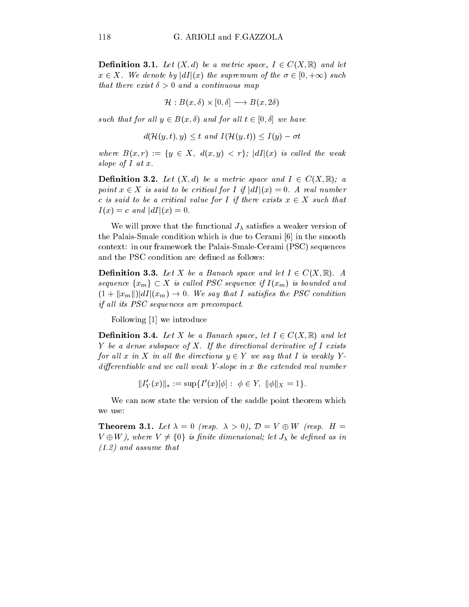**Definition 3.1.** Let  $(X, d)$  be a metric space,  $I \in C(X, \mathbb{R})$  and let  $x \in X$ . We denote by  $|dI|(x)$  the supremum of the  $\sigma \in [0, +\infty)$  such that there exist  $\delta > 0$  and a continuous map

$$
\mathcal{H}: B(x,\delta) \times [0,\delta] \longrightarrow B(x,2\delta)
$$

such that for all  $y \in B(x, \delta)$  and for all  $t \in [0, \delta]$  we have

$$
d(\mathcal{H}(y,t),y) \leq t \text{ and } I(\mathcal{H}(y,t)) \leq I(y) - \sigma t
$$

where  $B(x, r) := \{y \in X, d(x, y) < r\}$ ;  $|dI|(x)$  is called the weak slope of  $I$  at  $x$ .

**Definition 3.2.** Let  $(X, d)$  be a metric space and  $I \in C(X, \mathbb{R})$ ; a point  $x \in X$  is said to be critical for I if  $|dI|(x)=0$ . A real number c is said to be a critical value for I if there exists  $x \in X$  such that  $I(x) = c$  and  $|dI|(x) = 0$ .

We will prove that the functional  $J_{\lambda}$  satisfies a weaker version of the Palais-Smale condition which is due to Cerami [6] in the smooth context: in our framework the Palais-Smale-Cerami (PSC) sequences and the PSC condition are defined as follows:

**Definition 3.3.** Let X be a Banach space and let  $I \in C(X, \mathbb{R})$ . A sequence  $\{x_m\} \subset X$  is called PSC sequence if  $I(x_m)$  is bounded and  $(1 + ||x_m||) dI|(x_m) \rightarrow 0$ . We say that I satisfies the PSC condition if all its PSC sequences are precompact.

Following [1] we introduce

**Definition 3.4.** Let X be a Banach space, let  $I \in C(X,\mathbb{R})$  and let Y be a dense subspace of X. If the directional derivative of  $I$  exists for all x in X in all the directions  $y \in Y$  we say that I is weakly Ydifferentiable and we call weak Y-slope in  $x$  the extended real number

$$
||I'_Y(x)||_* := \sup\{I'(x)[\phi] : \phi \in Y, ||\phi||_X = 1\}.
$$

We can now state the version of the saddle point theorem which we use:

**Theorem 3.1.** Let  $\lambda = 0$  (resp.  $\lambda > 0$ ),  $\mathcal{D} = V \oplus W$  (resp. H =  $V \oplus W$ ), where  $V \neq \{0\}$  is finite dimensional; let  $J_{\lambda}$  be defined as in (1.2) and assume that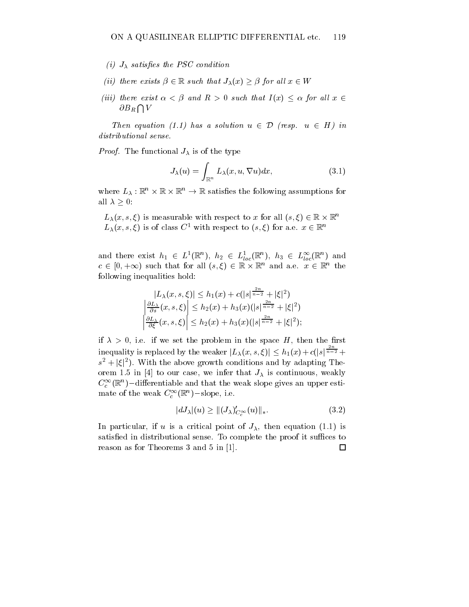- (i)  $J_{\lambda}$  satisfies the PSC condition
- (ii) there exists  $\beta \in \mathbb{R}$  such that  $J_{\lambda}(x) \geq \beta$  for all  $x \in W$
- (iii) there exist  $\alpha < \beta$  and  $R > 0$  such that  $I(x) \leq \alpha$  for all  $x \in$  $\partial B_R \bigcap V$

Then equation (1.1) has a solution  $u \in \mathcal{D}$  (resp.  $u \in H$ ) in distributional sense.

*Proof.* The functional  $J_{\lambda}$  is of the type

$$
J_{\lambda}(u) = \int_{\mathbb{R}^n} L_{\lambda}(x, u, \nabla u) dx, \qquad (3.1)
$$

where  $L_{\lambda}: \mathbb{R}^n \times \mathbb{R} \times \mathbb{R}^n \rightarrow \mathbb{R}$  satisfies the following assumptions for all  $\lambda \geq 0$ :

 $L_{\lambda}(x, s, \xi)$  is measurable with respect to x for all  $(s, \xi) \in \mathbb{R} \times \mathbb{R}^n$  $L_{\lambda}(x, s, \xi)$  is of class  $C^1$  with respect to  $(s, \xi)$  for a.e.  $x \in \mathbb{R}^n$ 

and there exist  $h_1 \in L^1(\mathbb{R}^n)$ ,  $h_2 \in L^1_{loc}(\mathbb{R}^n)$ ,  $h_3 \in L^{\infty}_{loc}(\mathbb{R}^n)$  and  $c \in (0, +\infty)$  such that for all  $(s, \xi) \in \mathbb{R} \times \mathbb{R}^n$  and a.e.  $x \in \mathbb{R}^n$  the following inequalities hold:

$$
|L_{\lambda}(x, s, \xi)| \leq h_1(x) + c(|s|^{\frac{2n}{n-2}} + |\xi|^2)
$$
  

$$
\left|\frac{\partial L_{\lambda}}{\partial s}(x, s, \xi)\right| \leq h_2(x) + h_3(x)(|s|^{\frac{2n}{n-2}} + |\xi|^2)
$$
  

$$
\left|\frac{\partial L_{\lambda}}{\partial \xi}(x, s, \xi)\right| \leq h_2(x) + h_3(x)(|s|^{\frac{2n}{n-2}} + |\xi|^2);
$$

if  $\lambda > 0$ , i.e. if we set the problem in the space H, then the first inequality is replaced by the weaker  $|L_\lambda(x,s,\xi)| \leq h_1(x) + c(|s|^{\frac{-\alpha}{n-2}} +$  $s^2 + |\xi|^2$ ). With the above growth conditions and by adapting Theorem 1.5 in [4] to our case, we infer that  $J_{\lambda}$  is continuous, weakly  $C_c^-(\mathbb{R}^n)$  – differentiable and that the weak slope gives an upper estimate of the weak  $C_c^{\text{-}}(\mathbb{R}^n)$  -slope, i.e.

$$
|dJ_{\lambda}|(u) \ge ||(J_{\lambda})'_{C_{c}^{\infty}}(u)||_{*}.
$$
\n(3.2)

In particular, if u is a critical point of  $J_{\lambda}$ , then equation (1.1) is satisfied in distributional sense. To complete the proof it suffices to reason as for Theorems 3 and 5 in [1]. $\Box$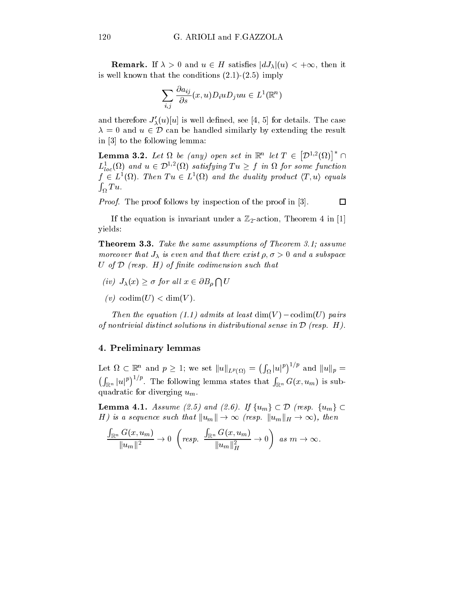**Remark.** If  $\lambda > 0$  and  $u \in H$  satisfies  $|dJ_{\lambda}|(u) < +\infty$ , then it is well known that the conditions  $(2.1)-(2.5)$  imply

$$
\sum_{i,j} \frac{\partial a_{ij}}{\partial s}(x,u) D_i u D_j u u \in L^1(\mathbb{R}^n)
$$

and therefore  $J'_{\lambda}(u)[u]$  is well defined, see [4, 5] for details. The case  $\lambda = 0$  and  $u \in \mathcal{D}$  can be handled similarly by extending the result in [3] to the following lemma:

**Lemma 3.2.** Let  $\Omega$  be (any) open set in  $\mathbb{R}^n$  let  $T \in [\mathcal{D}^{1,2}(\Omega)]^* \cap$  $L^1_{loc}(\Omega)$  and  $u \in \mathcal{D}^{1,2}(\Omega)$  satisfying  $Tu \geq f$  in  $\Omega$  for some function  $f \in L^1(\Omega)$ . Then  $Tu \in L^1(\Omega)$  and the duality product  $\langle T, u \rangle$  equals  $\int_{\Omega} Tu.$ 

Proof. The proof follows by inspection of the proof in [3].

If the equation is invariant under a  $\mathbb{Z}_2$ -action, Theorem 4 in [1] yields:

Theorem 3.3. Take the same assumptions of Theorem 3.1; assume moreover that  $J_{\lambda}$  is even and that there exist  $\rho, \sigma > 0$  and a subspace U of  $D$  (resp.  $H$ ) of finite codimension such that

- (iv)  $J_{\lambda}(x) \geq \sigma$  for all  $x \in \partial B_{\rho} \cap U$
- (v) codim(U)  $<$  dim(V).

Then the equation (1.1) admits at least  $\dim(V) - \text{codim}(U)$  pairs of nontrivial distinct solutions in distributional sense in  $\mathcal D$  (resp. H).

## 4. Preliminary lemmas

Let  $\Omega \subset \mathbb{R}^n$  and  $p \geq 1$ ; we set  $||u||_{L^p(\Omega)} = (\int_{\Omega} |u|^p)^{1/p}$  and  $||u||_p =$  $\left(\int_{\mathbb{R}^n} |u|^p\right)^{1/p}$ . The following lemma states that  $\int_{\mathbb{R}^n} G(x, u_m)$  is subquadratic for diverging  $u_m$ 

**Lemma 4.1.** Assume (2.5) and (2.6). If  $\{u_m\} \subset \mathcal{D}$  (resp.  $\{u_m\} \subset$ H) is a sequence such that  $||u_m|| \to \infty$  (resp.  $||u_m||_H \to \infty$ ), then

$$
\frac{\int_{\mathbb{R}^n} G(x, u_m)}{\|u_m\|^2} \to 0 \quad \left(\text{resp. } \frac{\int_{\mathbb{R}^n} G(x, u_m)}{\|u_m\|^2_H} \to 0\right) \text{ as } m \to \infty.
$$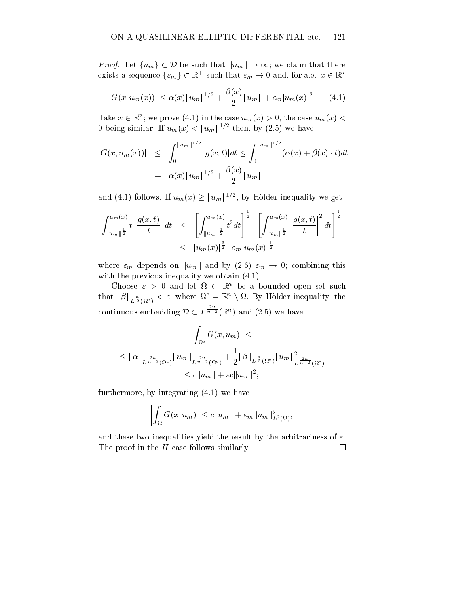*Proof.* Let  $\{u_m\} \subset \mathcal{D}$  be such that  $||u_m|| \to \infty$ ; we claim that there exists a sequence  $\{\varepsilon_m\} \subset \mathbb{R}^+$  such that  $\varepsilon_m \to 0$  and, for a.e.  $x \in \mathbb{R}^n$ 

$$
|G(x, u_m(x))| \leq \alpha(x) ||u_m||^{1/2} + \frac{\beta(x)}{2} ||u_m|| + \varepsilon_m |u_m(x)|^2 . \quad (4.1)
$$

Take  $x \in \mathbb{R}^n$ ; we prove (4.1) in the case  $u_m(x) > 0$ , the case  $u_m(x) < \infty$ 0 being similar. If  $u_m(x) < ||u_m||^{1/2}$  then, by (2.5) we have

$$
|G(x, u_m(x))| \leq \int_0^{||u_m||^{1/2}} |g(x, t)| dt \leq \int_0^{||u_m||^{1/2}} (\alpha(x) + \beta(x) \cdot t) dt
$$
  
=  $\alpha(x) ||u_m||^{1/2} + \frac{\beta(x)}{2} ||u_m||$ 

and (4.1) follows. If  $u_m(x) \geq ||u_m||^{1/2}$ , by Hölder inequality we get

$$
\int_{\|u_m\|^{\frac{1}{2}}}^{u_m(x)} t \left| \frac{g(x,t)}{t} \right| dt \leq \left[ \int_{\|u_m\|^{\frac{1}{2}}}^{u_m(x)} t^2 dt \right]^{\frac{1}{2}} \cdot \left[ \int_{\|u_m\|^{\frac{1}{2}}}^{u_m(x)} \left| \frac{g(x,t)}{t} \right|^2 dt \right]^{\frac{1}{2}}
$$
  

$$
\leq |u_m(x)|^{\frac{3}{2}} \cdot \varepsilon_m |u_m(x)|^{\frac{1}{2}},
$$

where  $\varepsilon_m$  depends on  $\|u_m\|$  and by (2.6)  $\varepsilon_m \to 0$ ; combining this with the previous inequality we obtain  $(4.1)$ .

Choose  $\varepsilon > 0$  and let  $\Omega \subset \mathbb{R}^n$  be a bounded open set such that  $\|\beta\|_{L^{\frac{n}{2}}(\Omega^c)} < \varepsilon$ , where  $\Omega^c = \mathbb{R}^n \setminus \Omega$ . By Hölder inequality, the  $\sim$ continuous embedding  $\mathcal{D} \subset L^{\overline{n-2}}(\mathbb{R}^n)$  and  $(2.5)$  we have

$$
\left| \int_{\Omega^c} G(x, u_m) \right| \le
$$
  
\n
$$
\leq ||\alpha||_{L^{\frac{2n}{n+2}}(\Omega^c)} ||u_m||_{L^{\frac{2n}{n-2}}(\Omega^c)} + \frac{1}{2} ||\beta||_{L^{\frac{n}{2}}(\Omega^c)} ||u_m||_{L^{\frac{2n}{n-2}}(\Omega^c)}^2
$$
  
\n
$$
\leq c ||u_m|| + \varepsilon c ||u_m||^2;
$$

furthermore, by integrating (4.1) we have

$$
\left| \int_{\Omega} G(x, u_m) \right| \leq c \|u_m\| + \varepsilon_m \|u_m\|_{L^2(\Omega)}^2,
$$

and these two inequalities yield the result by the arbitrariness of  $\varepsilon$ . The proof in the  $H$  case follows similarly.  $\Box$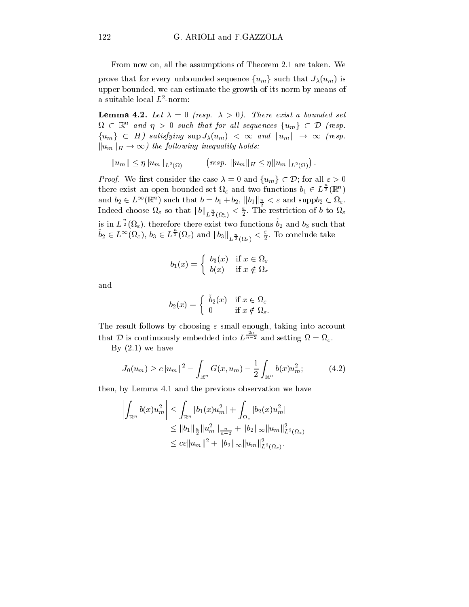From now on, all the assumptions of Theorem 2.1 are taken. We

prove that for every unbounded sequence  $\{u_m\}$  such that  $J_\lambda(u_m)$  is upper bounded, we can estimate the growth of its norm by means of a suitable local  $L$  -norm:  $\hskip.1in$ 

**Lemma 4.2.** Let  $\lambda = 0$  (resp.  $\lambda > 0$ ). There exist a bounded set  $\Omega\,\subset\,\mathbb{R}^n$  and  $\eta\,>\,0$  such that for all sequences  $\{u_m\}\,\subset\,\mathcal{D}$  (resp.  $\{u_m\} \subset H$ ) satisfying  $\sup J_\lambda(u_m) < \infty$  and  $||u_m|| \to \infty$  (resp.  $||u_m||_H \to \infty$ ) the following inequality holds:

$$
||u_m|| \leq \eta ||u_m||_{L^2(\Omega)} \qquad \text{(resp. } ||u_m||_H \leq \eta ||u_m||_{L^2(\Omega)}\text{)}.
$$

*Proof.* We first consider the case  $\lambda = 0$  and  $\{u_m\} \subset \mathcal{D}$ ; for all  $\varepsilon > 0$ there exist an open bounded set  $\Omega_{\varepsilon}$  and two functions  $b_1 \in L^{\frac{1}{2}}(\mathbb{R}^n)$  $\text{and}\ b_2\in L^\infty(\mathbb{R}^n) \text{ such that } b=b_1+b_2, \, \|b_1\|_{\frac{n}{2}}<\varepsilon \text{ and } \text{supp} b_2\subset \Omega_\varepsilon.$ Indeed choose  $\Omega_{\varepsilon}$  so that  $\|b\|_{L^{\frac{n}{2}}(\Omega_{\varepsilon}^{c})}<\frac{\varepsilon}{2}.$  The restriction of  $b$  to  $\Omega_{\varepsilon}$ is in  $L^{\frac{1}{2}}(\Omega_{\varepsilon})$ , therefore there exist two functions  $b_2$  and  $b_3$  such that  $b_2\in L^\infty(\Omega_\varepsilon),\, b_3\in L^\frac{\infty}{2}(\Omega_\varepsilon)\,\,\text{and}\,\, \left\|b_3\right\|_{L^\frac{n}{2}(\Omega_\varepsilon)}<\frac{\varepsilon}{2}.$  To conclude take

$$
b_1(x) = \begin{cases} b_3(x) & \text{if } x \in \Omega_{\varepsilon} \\ b(x) & \text{if } x \notin \Omega_{\varepsilon} \end{cases}
$$

and

$$
b_2(x) = \begin{cases} \bar{b}_2(x) & \text{if } x \in \Omega_{\varepsilon} \\ 0 & \text{if } x \notin \Omega_{\varepsilon}. \end{cases}
$$

The result follows by choosing  $\varepsilon$  small enough, taking into account that D is continuously embedded into  $L^{\frac{n}{n-2}}$  and setting  $\Omega = \Omega_{\varepsilon}$ .

By  $(2.1)$  we have

$$
J_0(u_m) \ge c \|u_m\|^2 - \int_{\mathbb{R}^n} G(x, u_m) - \frac{1}{2} \int_{\mathbb{R}^n} b(x) u_m^2; \tag{4.2}
$$

then, by Lemma 4.1 and the previous observation we have

$$
\left| \int_{\mathbb{R}^n} b(x) u_m^2 \right| \leq \int_{\mathbb{R}^n} |b_1(x) u_m^2| + \int_{\Omega_{\varepsilon}} |b_2(x) u_m^2|
$$
  
\n
$$
\leq \|b_1\|_{\frac{n}{2}} \|u_m^2\|_{\frac{n}{n-2}} + \|b_2\|_{\infty} \|u_m\|_{L^2(\Omega_{\varepsilon})}^2
$$
  
\n
$$
\leq c \varepsilon \|u_m\|^2 + \|b_2\|_{\infty} \|u_m\|_{L^2(\Omega_{\varepsilon})}^2.
$$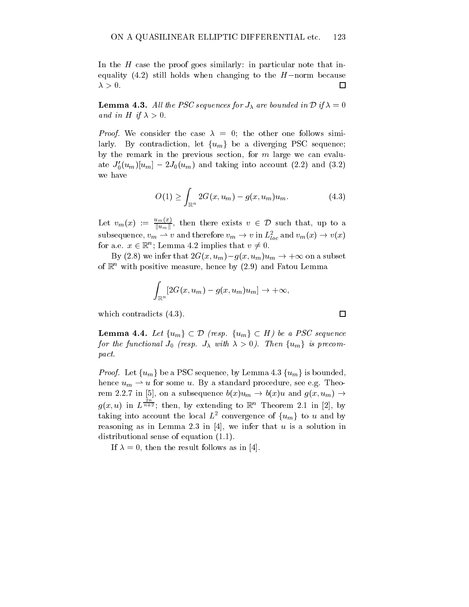In the  $H$  case the proof goes similarly: in particular note that inequality (4.2) still holds when changing to the  $H$ -norm because  $\lambda > 0.$  $\Box$ 

**Lemma 4.3.** All the PSC sequences for  $J_{\lambda}$  are bounded in  $D$  if  $\lambda = 0$ and in H if  $\lambda > 0$ .

*Proof.* We consider the case  $\lambda = 0$ ; the other one follows similarly. By contradiction, let  $\{u_m\}$  be a diverging PSC sequence; by the remark in the previous section, for  $m$  large we can evaluate  $J_0'(u_m)[u_m] - 2J_0(u_m)$  and taking into account (2.2) and (3.2) we have

$$
O(1) \ge \int_{\mathbb{R}^n} 2G(x, u_m) - g(x, u_m)u_m.
$$
 (4.3)

Let  $v_m(x) := \frac{u_{m}(x)}{||u_m||}$ , then there exists  $v \in \mathcal{D}$  such that, up to a subsequence,  $v_m \rightharpoonup v$  and therefore  $v_m \rightarrow v$  in  $L_{loc}^z$  and  $v_m(x) \rightarrow v(x)$ for a.e.  $x \in \mathbb{R}^n$ ; Lemma 4.2 implies that  $v \neq 0$ .

By (2.8) we infer that  $2G(x, u_m)-g(x, u_m)u_m \to +\infty$  on a subset of  $\mathbb{R}^n$  with positive measure, hence by (2.9) and Fatou Lemma

$$
\int_{\mathbb{R}^n} [2G(x, u_m) - g(x, u_m)u_m] \to +\infty,
$$

which contradicts (4.3).

**Lemma 4.4.** Let  $\{u_m\} \subset \mathcal{D}$  (resp.  $\{u_m\} \subset H$ ) be a PSC sequence for the functional  $J_0$  (resp.  $J_{\lambda}$  with  $\lambda > 0$ ). Then  $\{u_m\}$  is precompact.

*Proof.* Let  $\{u_m\}$  be a PSC sequence, by Lemma 4.3  $\{u_m\}$  is bounded, hence  $u_m \rightharpoonup u$  for some u. By a standard procedure, see e.g. Theorem 2.2.7 in [5], on a subsequence  $b(x)u_m \rightarrow b(x)u$  and  $g(x, u_m) \rightarrow$  $\mathbf{u}$  in  $\mathbf{u}$  is a set of  $\mathbf{u}$  $\frac{1}{n+2}$ ; then, by extending to  $\mathbb{R}^n$  Theorem 2.1 in [2], by taking into account the local  $L^2$  convergence of  $\{u_m\}$  to u and by reasoning as in Lemma 2.3 in [4], we infer that  $u$  is a solution in distributional sense of equation (1.1).

If  $\lambda = 0$ , then the result follows as in [4].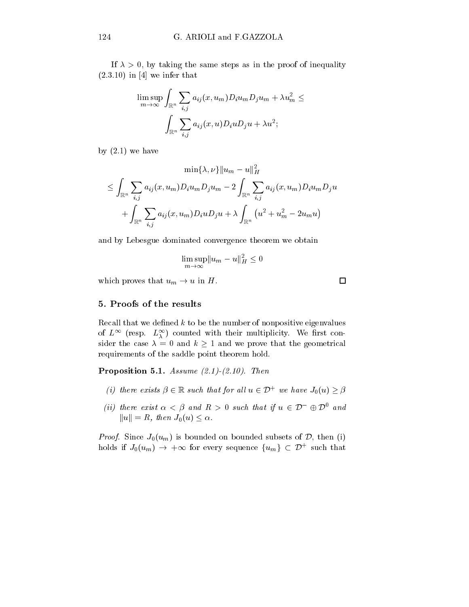If  $\lambda > 0$ , by taking the same steps as in the proof of inequality  $(2.3.10)$  in [4] we infer that

$$
\limsup_{m\to\infty}\int_{\mathbb{R}^n}\sum_{i,j}a_{ij}(x,u_m)D_iu_mD_ju_m+\lambda u_m^2\leq\\ \int_{\mathbb{R}^n}\sum_{i,j}a_{ij}(x,u)D_iuD_ju+\lambda u^2;
$$

by  $(2.1)$  we have

$$
\min\{\lambda,\nu\}\|u_m-u\|_H^2\\ \leq \int_{\mathbb{R}^n}\sum_{i,j}a_{ij}(x,u_m)D_iu_mD_ju_m-2\int_{\mathbb{R}^n}\sum_{i,j}a_{ij}(x,u_m)D_iu_mD_ju\\+\int_{\mathbb{R}^n}\sum_{i,j}a_{ij}(x,u_m)D_iuD_ju+\lambda\int_{\mathbb{R}^n}\left(u^2+u_m^2-2u_mu\right)
$$

and by Lebesgue dominated convergence theorem we obtain

$$
\limsup_{m \to \infty} \|u_m - u\|_H^2 \le 0
$$

which proves that  $u_m \to u$  in H.

#### 5. Proofs of the results

Recall that we defined  $k$  to be the number of nonpositive eigenvalues of  $L^{\infty}$  (resp.  $L^{\infty}_{\lambda}$ ) counted with their multiplicity. We first consider the case  $\lambda = 0$  and  $k \ge 1$  and we prove that the geometrical requirements of the saddle point theorem hold.

Proposition 5.1. Assume  $(2.1)$ - $(2.10)$ . Then

- (i) there exists  $\beta \in \mathbb{R}$  such that for all  $u \in \mathcal{D}^+$  we have  $J_0(u) \geq \beta$
- (ii) there exist  $\alpha < \beta$  and  $R > 0$  such that if  $u \in \mathcal{D}^-\oplus \mathcal{D}^0$  and  $||u|| = R$ , then  $J_0(u) \leq \alpha$ .

*Proof.* Since  $J_0(u_m)$  is bounded on bounded subsets of  $D$ , then (i) holds if  $J_0(u_m) \rightarrow +\infty$  for every sequence  $\{u_m\} \subset \mathcal{D}^+$  such that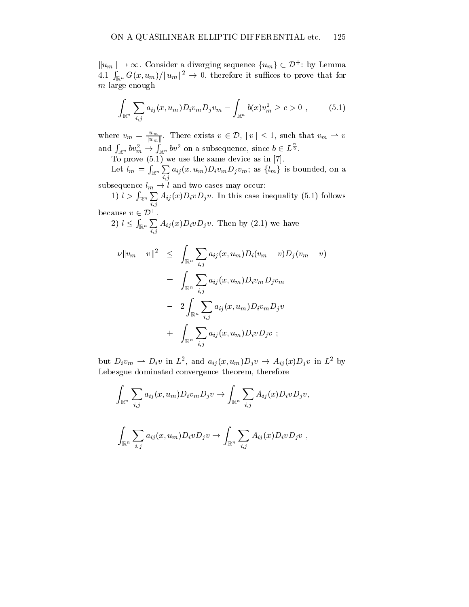$||u_m|| \to \infty$ . Consider a diverging sequence  $\{u_m\} \subset \mathcal{D}^+$ : by Lemma 4.1  $\int_{\mathbb{R}^n} G(x, u_m)/||u_m||^2 \to 0$ , therefore it suffices to prove that for  $m$  large enough

$$
\int_{\mathbb{R}^n} \sum_{i,j} a_{ij}(x, u_m) D_i v_m D_j v_m - \int_{\mathbb{R}^n} b(x) v_m^2 \ge c > 0 , \qquad (5.1)
$$

where  $v_m = \frac{u_m}{\|u_m\|}$ . There exists  $v \in \mathcal{D}$ ,  $\|v\| \leq 1$ , such that  $v_m \rightharpoonup v$ and  $\int_{\mathbb{R}^n} b v_m^2 \to \int_{\mathbb{R}^n} b v^2$  on a subsequence, since  $b \in L^{\frac{n}{2}}$ .

To prove (5.1) we use the same device as in [7].

Let  $l_m = \int_{\mathbb{R}^n} \sum_{i,j} a_{ij}(x, u_m) D_i v_m D_j v_m$ ; as  $\{l_m\}$  is bounded, on a

subsequence  $l_m \rightarrow l$  and two cases may occur:

1)  $l > \int_{\mathbb{R}^n} \sum A_{ij}(x) D_i v D_j v$ . In this case inequality (5.1) follows i;j because  $v \in \mathcal{D}^+$ .

2)  $l \leq \int_{\mathbb{R}^n} \sum A_{ij}(x) D_i v D_j v$ . Then by (2.1) we have  $\mathbf{i}$ 

$$
\nu ||v_m - v||^2 \leq \int_{\mathbb{R}^n} \sum_{i,j} a_{ij}(x, u_m) D_i(v_m - v) D_j(v_m - v)
$$
  
= 
$$
\int_{\mathbb{R}^n} \sum_{i,j} a_{ij}(x, u_m) D_i v_m D_j v_m
$$
  
- 
$$
2 \int_{\mathbb{R}^n} \sum_{i,j} a_{ij}(x, u_m) D_i v_m D_j v
$$
  
+ 
$$
\int_{\mathbb{R}^n} \sum_{i,j} a_{ij}(x, u_m) D_i v D_j v ;
$$

but  $D_i v_m \rightharpoonup D_i v$  in  $L^2$ , and  $a_{ij}(x, u_m) D_i v \rightharpoonup A_{ij}(x) D_i v$  in  $L^2$  by Lebesgue dominated convergence theorem, therefore

$$
\int_{\mathbb{R}^n} \sum_{i,j} a_{ij}(x, u_m) D_i v_m D_j v \to \int_{\mathbb{R}^n} \sum_{i,j} A_{ij}(x) D_i v D_j v,
$$

$$
\int_{\mathbb{R}^n} \sum_{i,j} a_{ij}(x, u_m) D_i v D_j v \to \int_{\mathbb{R}^n} \sum_{i,j} A_{ij}(x) D_i v D_j v ,
$$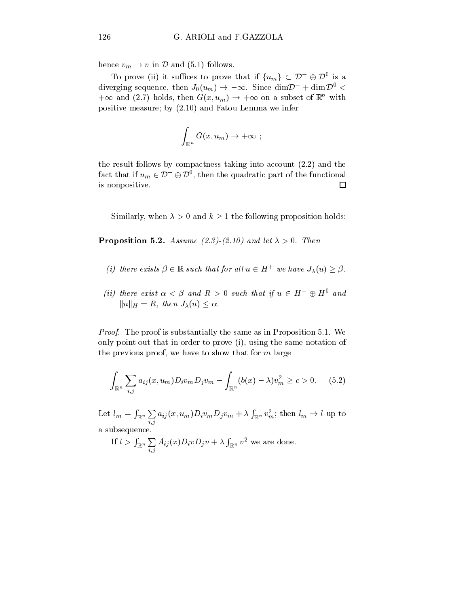hence  $v_m \to v$  in D and (5.1) follows.

To prove (ii) it suffices to prove that if  $\{u_m\} \subset \mathcal{D}^- \oplus \mathcal{D}^0$  is a diverging sequence, then  $J_0(u_m) \to -\infty$ . Since  $\dim \mathcal{D}^- + \dim \mathcal{D}^0$  $+\infty$  and (2.7) holds, then  $G(x, u_m) \to +\infty$  on a subset of  $\mathbb{R}^n$  with positive measure; by (2.10) and Fatou Lemma we infer

$$
\int_{\mathbb{R}^n} G(x, u_m) \to +\infty ;
$$

the result follows by compactness taking into account (2.2) and the fact that if  $u_m \in \mathcal{D}^- \oplus \mathcal{D}^0$ , then the quadratic part of the functional is nonpositive.  $\Box$ 

Similarly, when  $\lambda > 0$  and  $k \ge 1$  the following proposition holds:

**Proposition 5.2.** Assume (2.3)-(2.10) and let  $\lambda > 0$ . Then

- (i) there exists  $\beta \in \mathbb{R}$  such that for all  $u \in H^+$  we have  $J_\lambda(u) \geq \beta$ .
- (ii) there exist  $\alpha < \beta$  and  $R > 0$  such that if  $u \in H^{-} \oplus H^{0}$  and  $||u||_H = R$ , then  $J_\lambda(u) \leq \alpha$ .

Proof. The proof is substantially the same as in Proposition 5.1. We only point out that in order to prove (i), using the same notation of the previous proof, we have to show that for  $m$  large

$$
\int_{\mathbb{R}^n} \sum_{i,j} a_{ij}(x, u_m) D_i v_m D_j v_m - \int_{\mathbb{R}^n} (b(x) - \lambda) v_m^2 \ge c > 0. \quad (5.2)
$$

 $\text{Let} \,\, l_m = \int_{\mathbb{R}^n} \sum_{i,j} a_{ij}(x,u_m) D_i v_m D_j$  $a_{ij}(x,u_m)D_i v_m D_j v_m + \lambda \int_{\mathbb{R}^n} v_m^2$ ; then  $l_m \to l$  up to a subsequence.

If 
$$
l > \int_{\mathbb{R}^n} \sum_{i,j} A_{ij}(x) D_i v D_j v + \lambda \int_{\mathbb{R}^n} v^2
$$
 we are done.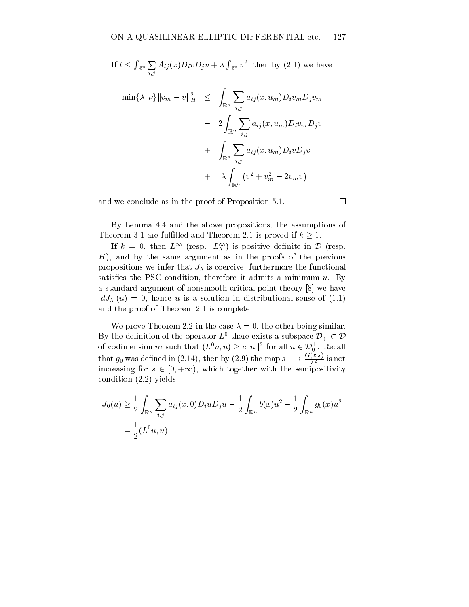If 
$$
l \leq \int_{\mathbb{R}^n} \sum_{i,j} A_{ij}(x) D_i v D_j v + \lambda \int_{\mathbb{R}^n} v^2
$$
, then by (2.1) we have  
\n
$$
\min\{\lambda, \nu\} \|v_m - v\|_H^2 \leq \int_{\mathbb{R}^n} \sum_{i,j} a_{ij}(x, u_m) D_i v_m D_j v_m
$$
\n
$$
- 2 \int_{\mathbb{R}^n} \sum_{i,j} a_{ij}(x, u_m) D_i v_m D_j v
$$
\n
$$
+ \int_{\mathbb{R}^n} \sum_{i,j} a_{ij}(x, u_m) D_i v D_j v
$$
\n
$$
+ \lambda \int_{\mathbb{R}^n} (v^2 + v_m^2 - 2v_m v)
$$

and we conclude as in the proof of Proposition 5.1.

By Lemma 4.4 and the above propositions, the assumptions of Theorem 3.1 are fulfilled and Theorem 2.1 is proved if  $k \geq 1$ .

If  $k = 0$ , then  $L^{\infty}$  (resp.  $L^{\infty}_{\lambda}$ ) is positive definite in  $\mathcal{D}$  (resp.  $H$ ), and by the same argument as in the proofs of the previous propositions we infer that  $J_{\lambda}$  is coercive; furthermore the functional satisfies the PSC condition, therefore it admits a minimum  $u$ . By a standard argument of nonsmooth critical point theory [8] we have  $|dJ_{\lambda}|(u) = 0$ , hence u is a solution in distributional sense of (1.1) and the proof of Theorem 2.1 is complete.

We prove Theorem 2.2 in the case  $\lambda = 0$ , the other being similar. By the definition of the operator  $L^0$  there exists a subspace  $\mathcal{D}_0^+ \subset \mathcal{D}$ of codimension m such that  $(L^0u, u) \geq c||u||^2$  for all  $u \in \mathcal{D}_0^+$ . Recall that  $g_0$  was defined in (2.14), then by (2.9) the map  $s \longmapsto \frac{G(x,s)}{s^2}$  is not increasing for  $s \in [0, +\infty)$ , which together with the semipositivity condition (2.2) yields

$$
J_0(u) \geq \frac{1}{2} \int_{\mathbb{R}^n} \sum_{i,j} a_{ij}(x,0) D_i u D_j u - \frac{1}{2} \int_{\mathbb{R}^n} b(x) u^2 - \frac{1}{2} \int_{\mathbb{R}^n} g_0(x) u^2
$$
  
=  $\frac{1}{2} (L^0 u, u)$